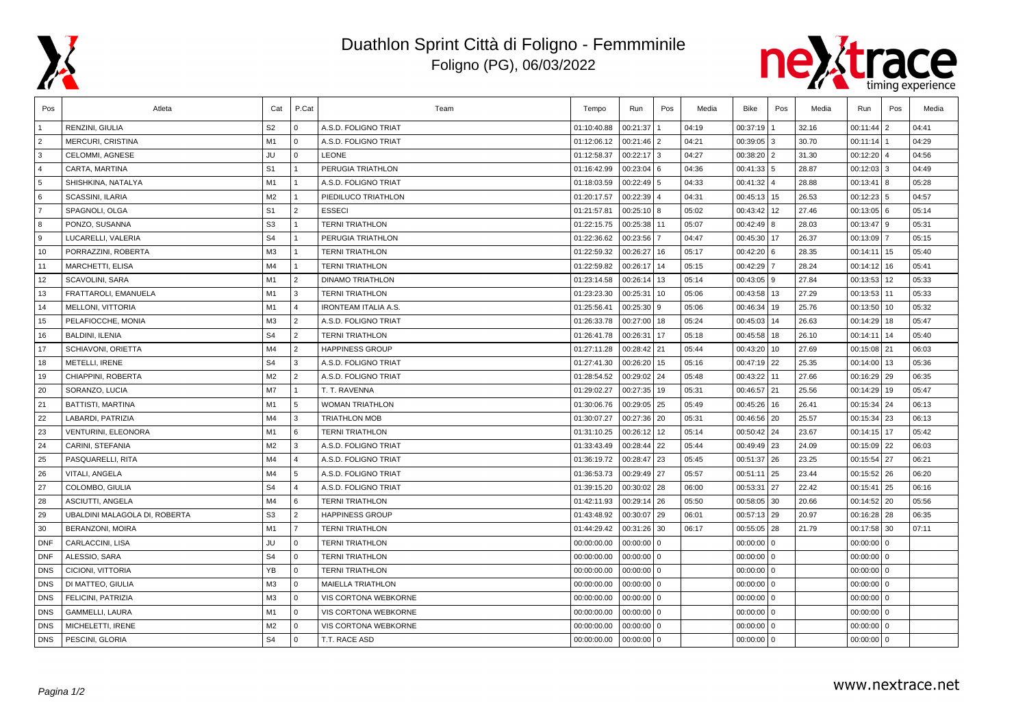

## Duathlon Sprint Città di Foligno - Femmminile Foligno (PG), 06/03/2022



| Pos            | Atleta                        | Cat            | P.Cat          | Team                        | Tempo       | Run           | Pos            | Media | Bike         | Pos | Media | Run             | Pos            | Media |
|----------------|-------------------------------|----------------|----------------|-----------------------------|-------------|---------------|----------------|-------|--------------|-----|-------|-----------------|----------------|-------|
|                | RENZINI, GIULIA               | S <sub>2</sub> | $\overline{0}$ | A.S.D. FOLIGNO TRIAT        | 01:10:40.88 | 00:21:37      |                | 04:19 | 00:37:19     |     | 32.16 | 00:11:44        | $\overline{2}$ | 04:41 |
| $\overline{2}$ | <b>MERCURI, CRISTINA</b>      | M1             | l 0            | A.S.D. FOLIGNO TRIAT        | 01:12:06.12 | 00:21:46      | 2              | 04:21 | 00:39:05 3   |     | 30.70 | 00:11:14        |                | 04:29 |
| 3              | CELOMMI, AGNESE               | JU             | l 0            | <b>LEONE</b>                | 01:12:58.37 | $00:22:17$ 3  |                | 04:27 | 00:38:20 2   |     | 31.30 | 00:12:20        | $\overline{4}$ | 04:56 |
| $\overline{4}$ | CARTA, MARTINA                | S <sub>1</sub> | $\overline{1}$ | PERUGIA TRIATHLON           | 01:16:42.99 | $00:23:04$ 6  |                | 04:36 | 00:41:33 5   |     | 28.87 | 00:12:03        | 3              | 04:49 |
| 5              | SHISHKINA, NATALYA            | M1             | $\overline{1}$ | A.S.D. FOLIGNO TRIAT        | 01:18:03.59 | $00:22:49$ 5  |                | 04:33 | 00:41:32 4   |     | 28.88 | 00:13:41        | 8              | 05:28 |
| 6              | SCASSINI, ILARIA              | M2             | $\overline{1}$ | PIEDILUCO TRIATHLON         | 01:20:17.57 | 00:22:39      | $\overline{4}$ | 04:31 | 00:45:13 15  |     | 26.53 | 00:12:23        | 5              | 04:57 |
| $\overline{7}$ | SPAGNOLI, OLGA                | S <sub>1</sub> | $\overline{2}$ | <b>ESSECI</b>               | 01:21:57.81 | $00:25:10$ 8  |                | 05:02 | 00:43:42 12  |     | 27.46 | $00:13:05$ 6    |                | 05:14 |
| 8              | PONZO, SUSANNA                | S <sub>3</sub> | $\vert$ 1      | <b>TERNI TRIATHLON</b>      | 01:22:15.75 | 00:25:38      | 11             | 05:07 | 00:42:49 8   |     | 28.03 | 00:13:47        | l 9            | 05:31 |
| ∣9.            | LUCARELLI, VALERIA            | S <sub>4</sub> | $\blacksquare$ | PERUGIA TRIATHLON           | 01:22:36.62 | 00:23:56      |                | 04:47 | 00:45:30 17  |     | 26.37 | 00:13:09        | $\overline{7}$ | 05:15 |
| 10             | PORRAZZINI, ROBERTA           | M <sub>3</sub> | $\overline{1}$ | <b>TERNI TRIATHLON</b>      | 01:22:59.32 | 00:26:27      | 16             | 05:17 | 00:42:20 6   |     | 28.35 | 00:14:11        | 15             | 05:40 |
| 11             | <b>MARCHETTI, ELISA</b>       | M4             | $\overline{1}$ | <b>TERNI TRIATHLON</b>      | 01:22:59.82 | 00:26:17      | 14             | 05:15 | 00:42:29 7   |     | 28.24 | 00:14:12        | 16             | 05:41 |
| 12             | <b>SCAVOLINI, SARA</b>        | M1             | $\overline{2}$ | <b>DINAMO TRIATHLON</b>     | 01:23:14.58 | 00:26:14      | 13             | 05:14 | 00:43:05 9   |     | 27.84 | 00:13:53        | 12             | 05:33 |
| 13             | FRATTAROLI, EMANUELA          | M1             | l 3            | <b>TERNI TRIATHLON</b>      | 01:23:23.30 | 00:25:31      | 10             | 05:06 | 00:43:58 13  |     | 27.29 | 00:13:53        | 11             | 05:33 |
| 14             | <b>MELLONI, VITTORIA</b>      | M1             | $\overline{4}$ | <b>IRONTEAM ITALIA A.S.</b> | 01:25:56.41 | 00:25:30      | 9              | 05:06 | 00:46:34     | 19  | 25.76 | 00:13:50        | 10             | 05:32 |
| 15             | PELAFIOCCHE, MONIA            | M <sub>3</sub> | $\overline{2}$ | A.S.D. FOLIGNO TRIAT        | 01:26:33.78 | 00:27:00      | 18             | 05:24 | 00:45:03 14  |     | 26.63 | 00:14:29        | 18             | 05:47 |
| 16             | <b>BALDINI, ILENIA</b>        | S <sub>4</sub> | $\overline{2}$ | <b>TERNI TRIATHLON</b>      | 01:26:41.78 | 00:26:31      | 17             | 05:18 | 00:45:58 18  |     | 26.10 | 00:14:11        | 14             | 05:40 |
| 17             | SCHIAVONI, ORIETTA            | M4             | $\overline{2}$ | <b>HAPPINESS GROUP</b>      | 01:27:11.28 | 00:28:42 21   |                | 05:44 | 00:43:20 10  |     | 27.69 | $00:15:08$   21 |                | 06:03 |
| 18             | METELLI, IRENE                | S <sub>4</sub> | l 3            | A.S.D. FOLIGNO TRIAT        | 01:27:41.30 | 00:26:20      | 15             | 05:16 | 00:47:19 22  |     | 25.35 | 00:14:00        | 13             | 05:36 |
| 19             | CHIAPPINI, ROBERTA            | M2             | $\sqrt{2}$     | A.S.D. FOLIGNO TRIAT        | 01:28:54.52 | 00:29:02      | 24             | 05:48 | 00:43:22 11  |     | 27.66 | 00:16:29        | 29             | 06:35 |
| 20             | SORANZO, LUCIA                | M7             | $\vert$ 1      | T. T. RAVENNA               | 01:29:02.27 | 00:27:35      | 19             | 05:31 | 00:46:57 21  |     | 25.56 | 00:14:29        | 19             | 05:47 |
| 21             | BATTISTI, MARTINA             | M1             | 5              | <b>WOMAN TRIATHLON</b>      | 01:30:06.76 | 00:29:05 25   |                | 05:49 | 00:45:26 16  |     | 26.41 | 00:15:34        | 24             | 06:13 |
| 22             | LABARDI, PATRIZIA             | M4             | l 3            | <b>TRIATHLON MOB</b>        | 01:30:07.27 | 00:27:36 20   |                | 05:31 | 00:46:56 20  |     | 25.57 | 00:15:34        | 23             | 06:13 |
| 23             | VENTURINI, ELEONORA           | M1             | 6              | <b>TERNI TRIATHLON</b>      | 01:31:10.25 | 00:26:12      | 12             | 05:14 | 00:50:42 24  |     | 23.67 | 00:14:15        | 17             | 05:42 |
| 24             | CARINI, STEFANIA              | M2             | 3              | A.S.D. FOLIGNO TRIAT        | 01:33:43.49 | 00:28:44      | 22             | 05:44 | 00:49:49 23  |     | 24.09 | 00:15:09        | 22             | 06:03 |
| 25             | PASQUARELLI, RITA             | M4             | $\overline{4}$ | A.S.D. FOLIGNO TRIAT        | 01:36:19.72 | 00:28:47 23   |                | 05:45 | 00:51:37 26  |     | 23.25 | 00:15:54        | 27             | 06:21 |
| 26             | VITALI, ANGELA                | M4             | 5              | A.S.D. FOLIGNO TRIAT        | 01:36:53.73 | 00:29:49 27   |                | 05:57 | 00:51:11 25  |     | 23.44 | 00:15:52        | 26             | 06:20 |
| 27             | COLOMBO, GIULIA               | S <sub>4</sub> | $\overline{4}$ | A.S.D. FOLIGNO TRIAT        | 01:39:15.20 | $00:30:02$ 28 |                | 06:00 | 00:53:31 27  |     | 22.42 | 00:15:41        | 25             | 06:16 |
| 28             | ASCIUTTI, ANGELA              | M4             | l 6            | <b>TERNI TRIATHLON</b>      | 01:42:11.93 | 00:29:14      | 26             | 05:50 | 00:58:05 30  |     | 20.66 | 00:14:52        | 20             | 05:56 |
| 29             | UBALDINI MALAGOLA DI, ROBERTA | S <sub>3</sub> | $\overline{2}$ | <b>HAPPINESS GROUP</b>      | 01:43:48.92 | $00:30:07$ 29 |                | 06:01 | 00:57:13 29  |     | 20.97 | $00:16:28$ 28   |                | 06:35 |
| 30             | <b>BERANZONI, MOIRA</b>       | M1             | l 7            | <b>TERNI TRIATHLON</b>      | 01:44:29.42 | 00:31:26      | 30             | 06:17 | 00:55:05 28  |     | 21.79 | $00:17:58$ 30   |                | 07:11 |
| <b>DNF</b>     | CARLACCINI, LISA              | JU             | $\Omega$       | <b>TERNI TRIATHLON</b>      | 00:00:00.00 | 00:00:00      | $\mathbf 0$    |       | $00:00:00$ 0 |     |       | 00:00:00        | I٥             |       |
| <b>DNF</b>     | ALESSIO, SARA                 | S <sub>4</sub> | $\Omega$       | <b>TERNI TRIATHLON</b>      | 00:00:00.00 | 00:00:00      | $\mathbf 0$    |       | $00:00:00$ 0 |     |       | 00:00:00        | $\Omega$       |       |
| <b>DNS</b>     | CICIONI, VITTORIA             | <b>YB</b>      | $\overline{0}$ | <b>TERNI TRIATHLON</b>      | 00:00:00.00 | 00:00:00      | $\mathbf 0$    |       | $00:00:00$ 0 |     |       | 00:00:00        | l o            |       |
| <b>DNS</b>     | DI MATTEO, GIULIA             | M <sub>3</sub> | l o            | <b>MAIELLA TRIATHLON</b>    | 00:00:00.00 | $00:00:00$ 0  |                |       | $00:00:00$ 0 |     |       | $00:00:00$ 0    |                |       |
| <b>DNS</b>     | FELICINI, PATRIZIA            | M3             | l 0            | VIS CORTONA WEBKORNE        | 00:00:00.00 | $00:00:00$ 0  |                |       | $00:00:00$ 0 |     |       | $00:00:00$ 0    |                |       |
| <b>DNS</b>     | <b>GAMMELLI, LAURA</b>        | M1             | $\Omega$       | <b>VIS CORTONA WEBKORNE</b> | 00:00:00.00 | $00:00:00$ 0  |                |       | $00:00:00$ 0 |     |       | 00:00:00        | l o            |       |
| <b>DNS</b>     | MICHELETTI, IRENE             | M <sub>2</sub> | $\overline{0}$ | VIS CORTONA WEBKORNE        | 00:00:00.00 | 00:00:00      | $\mathbf 0$    |       | $00:00:00$ 0 |     |       | 00:00:00        | l o            |       |
| <b>DNS</b>     | PESCINI, GLORIA               | S <sub>4</sub> | l 0            | T.T. RACE ASD               | 00:00:00.00 | $00:00:00$ 0  |                |       | $00:00:00$ 0 |     |       | $00:00:00$ 0    |                |       |